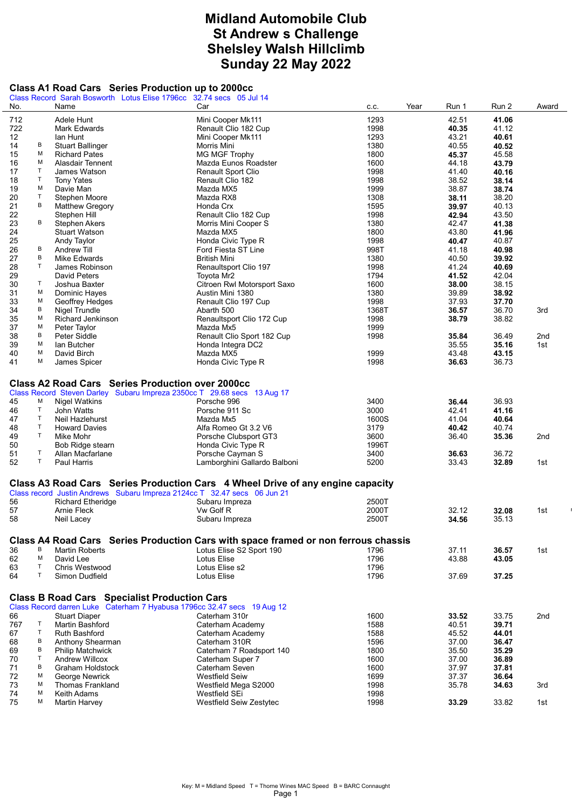## Midland Automobile Club St Andrew s Challenge Shelsley Walsh Hillclimb Sunday 22 May 2022

## Class A1 Road Cars Series Production up to 2000cc

|     |             | Class Record Sarah Bosworth Lotus Elise 1796cc                           | 32.74 secs 05 Jul 14                                                               |              |       |       |       |
|-----|-------------|--------------------------------------------------------------------------|------------------------------------------------------------------------------------|--------------|-------|-------|-------|
| No. |             | Name                                                                     | Car                                                                                | Year<br>C.C. | Run 1 | Run 2 | Award |
| 712 |             | Adele Hunt                                                               | Mini Cooper Mk111                                                                  | 1293         | 42.51 | 41.06 |       |
| 722 |             | Mark Edwards                                                             | Renault Clio 182 Cup                                                               | 1998         | 40.35 | 41.12 |       |
|     |             |                                                                          |                                                                                    |              |       |       |       |
| 12  |             | lan Hunt                                                                 | Mini Cooper Mk111                                                                  | 1293         | 43.21 | 40.61 |       |
| 14  | в           | <b>Stuart Ballinger</b>                                                  | Morris Mini                                                                        | 1380         | 40.55 | 40.52 |       |
| 15  | М           | <b>Richard Pates</b>                                                     | <b>MG MGF Trophy</b>                                                               | 1800         | 45.37 | 45.58 |       |
| 16  | М           | Alasdair Tennent                                                         | Mazda Eunos Roadster                                                               | 1600         | 44.18 | 43.79 |       |
| 17  | $\top$      | James Watson                                                             | Renault Sport Clio                                                                 | 1998         | 41.40 | 40.16 |       |
| 18  | T.          | <b>Tony Yates</b>                                                        | Renault Clio 182                                                                   | 1998         | 38.52 | 38.14 |       |
| 19  | М           | Davie Man                                                                | Mazda MX5                                                                          | 1999         | 38.87 | 38.74 |       |
| 20  | $\mathsf T$ | Stephen Moore                                                            | Mazda RX8                                                                          | 1308         | 38.11 | 38.20 |       |
| 21  | в           | <b>Matthew Gregory</b>                                                   | Honda Crx                                                                          | 1595         | 39.97 | 40.13 |       |
| 22  |             |                                                                          |                                                                                    |              | 42.94 |       |       |
|     | В           | Stephen Hill                                                             | Renault Clio 182 Cup                                                               | 1998         |       | 43.50 |       |
| 23  |             | <b>Stephen Akers</b>                                                     | Morris Mini Cooper S                                                               | 1380         | 42.47 | 41.38 |       |
| 24  |             | <b>Stuart Watson</b>                                                     | Mazda MX5                                                                          | 1800         | 43.80 | 41.96 |       |
| 25  |             | Andy Taylor                                                              | Honda Civic Type R                                                                 | 1998         | 40.47 | 40.87 |       |
| 26  | В           | Andrew Till                                                              | Ford Fiesta ST Line                                                                | 998T         | 41.18 | 40.98 |       |
| 27  | В           | <b>Mike Edwards</b>                                                      | <b>British Mini</b>                                                                | 1380         | 40.50 | 39.92 |       |
| 28  | $\mathsf T$ | James Robinson                                                           | Renaultsport Clio 197                                                              | 1998         | 41.24 | 40.69 |       |
| 29  |             | David Peters                                                             | Toyota Mr2                                                                         | 1794         | 41.52 | 42.04 |       |
|     | Τ           |                                                                          |                                                                                    |              |       |       |       |
| 30  |             | Joshua Baxter                                                            | Citroen Rwl Motorsport Saxo                                                        | 1600         | 38.00 | 38.15 |       |
| 31  | М           | Dominic Hayes                                                            | Austin Mini 1380                                                                   | 1380         | 39.89 | 38.92 |       |
| 33  | М           | Geoffrey Hedges                                                          | Renault Clio 197 Cup                                                               | 1998         | 37.93 | 37.70 |       |
| 34  | в           | Nigel Trundle                                                            | Abarth 500                                                                         | 1368T        | 36.57 | 36.70 | 3rd   |
| 35  | М           | Richard Jenkinson                                                        | Renaultsport Clio 172 Cup                                                          | 1998         | 38.79 | 38.82 |       |
| 37  | М           | Peter Taylor                                                             | Mazda Mx5                                                                          | 1999         |       |       |       |
| 38  | В           | Peter Siddle                                                             | Renault Clio Sport 182 Cup                                                         | 1998         | 35.84 | 36.49 | 2nd   |
| 39  | М           | lan Butcher                                                              | Honda Integra DC2                                                                  |              | 35.55 | 35.16 | 1st   |
|     | М           |                                                                          |                                                                                    |              |       |       |       |
| 40  |             | David Birch                                                              | Mazda MX5                                                                          | 1999         | 43.48 | 43.15 |       |
| 41  | М           | James Spicer                                                             | Honda Civic Type R                                                                 | 1998         | 36.63 | 36.73 |       |
|     |             |                                                                          |                                                                                    |              |       |       |       |
|     |             | <b>Class A2 Road Cars Series Production over 2000cc</b>                  |                                                                                    |              |       |       |       |
|     |             | Class Record Steven Darley Subaru Impreza 2350cc T 29.68 secs 13 Aug 17  |                                                                                    |              |       |       |       |
| 45  | М           | Nigel Watkins                                                            | Porsche 996                                                                        | 3400         | 36.44 | 36.93 |       |
|     | T           | John Watts                                                               | Porsche 911 Sc                                                                     | 3000         | 42.41 | 41.16 |       |
| 46  |             |                                                                          |                                                                                    |              |       |       |       |
| 47  | T           | Neil Hazlehurst                                                          | Mazda Mx5                                                                          | 1600S        | 41.04 | 40.64 |       |
| 48  | T           | <b>Howard Davies</b>                                                     | Alfa Romeo Gt 3.2 V6                                                               | 3179         | 40.42 | 40.74 |       |
| 49  | T.          | Mike Mohr                                                                | Porsche Clubsport GT3                                                              | 3600         | 36.40 | 35.36 | 2nd   |
| 50  |             | Bob Ridge stearn                                                         | Honda Civic Type R                                                                 | 1996T        |       |       |       |
| 51  | T           | Allan Macfarlane                                                         | Porsche Cayman S                                                                   | 3400         | 36.63 | 36.72 |       |
| 52  | T           | Paul Harris                                                              | Lamborghini Gallardo Balboni                                                       | 5200         | 33.43 | 32.89 | 1st   |
|     |             |                                                                          |                                                                                    |              |       |       |       |
|     |             |                                                                          | Class A3 Road Cars Series Production Cars 4 Wheel Drive of any engine capacity     |              |       |       |       |
|     |             |                                                                          |                                                                                    |              |       |       |       |
|     |             | Class record Justin Andrews Subaru Impreza 2124cc T 32.47 secs 06 Jun 21 |                                                                                    |              |       |       |       |
| 56  |             | <b>Richard Etheridge</b>                                                 | Subaru Impreza                                                                     | 2500T        |       |       |       |
| 57  |             | Arnie Fleck                                                              | Vw Golf R                                                                          | 2000T        | 32.12 | 32.08 | 1st   |
| 58  |             | Neil Lacey                                                               | Subaru Impreza                                                                     | 2500T        | 34.56 | 35.13 |       |
|     |             |                                                                          |                                                                                    |              |       |       |       |
|     |             |                                                                          | Class A4 Road Cars Series Production Cars with space framed or non ferrous chassis |              |       |       |       |
|     | В           |                                                                          |                                                                                    |              |       |       |       |
| 36  |             | <b>Martin Roberts</b>                                                    | Lotus Elise S2 Sport 190                                                           | 1796         | 37.11 | 36.57 | 1st   |
| 62  | M           | David Lee                                                                | Lotus Elise                                                                        | 1796         | 43.88 | 43.05 |       |
| 63  | T           | Chris Westwood                                                           | Lotus Elise s2                                                                     | 1796         |       |       |       |
| 64  | T.          | Simon Dudfield                                                           | Lotus Elise                                                                        | 1796         | 37.69 | 37.25 |       |
|     |             |                                                                          |                                                                                    |              |       |       |       |
|     |             | <b>Class B Road Cars Specialist Production Cars</b>                      |                                                                                    |              |       |       |       |
|     |             |                                                                          |                                                                                    |              |       |       |       |
|     |             | Class Record darren Luke Caterham 7 Hyabusa 1796cc 32.47 secs 19 Aug 12  |                                                                                    |              |       |       |       |
| 66  |             | <b>Stuart Diaper</b>                                                     | Caterham 310r                                                                      | 1600         | 33.52 | 33.75 | 2nd   |
| 767 | T           | Martin Bashford                                                          | Caterham Academy                                                                   | 1588         | 40.51 | 39.71 |       |
| 67  | T           | <b>Ruth Bashford</b>                                                     | Caterham Academy                                                                   | 1588         | 45.52 | 44.01 |       |
| 68  | в           | Anthony Shearman                                                         | Caterham 310R                                                                      | 1596         | 37.00 | 36.47 |       |
| 69  | В           | <b>Philip Matchwick</b>                                                  | Caterham 7 Roadsport 140                                                           | 1800         | 35.50 | 35.29 |       |
| 70  | $\top$      | <b>Andrew Willcox</b>                                                    | Caterham Super 7                                                                   | 1600         | 37.00 | 36.89 |       |
| 71  | В           | Graham Holdstock                                                         | Caterham Seven                                                                     | 1600         | 37.97 | 37.81 |       |
| 72  | М           | George Newrick                                                           | Westfield Seiw                                                                     | 1699         | 37.37 | 36.64 |       |
|     | М           |                                                                          |                                                                                    |              |       |       |       |
| 73  |             | <b>Thomas Frankland</b>                                                  | Westfield Mega S2000                                                               | 1998         | 35.78 | 34.63 | 3rd   |
| 74  | М           | Keith Adams                                                              | Westfield SEi                                                                      | 1998         |       |       |       |
| 75  | М           | <b>Martin Harvey</b>                                                     | Westfield Seiw Zestytec                                                            | 1998         | 33.29 | 33.82 | 1st   |
|     |             |                                                                          |                                                                                    |              |       |       |       |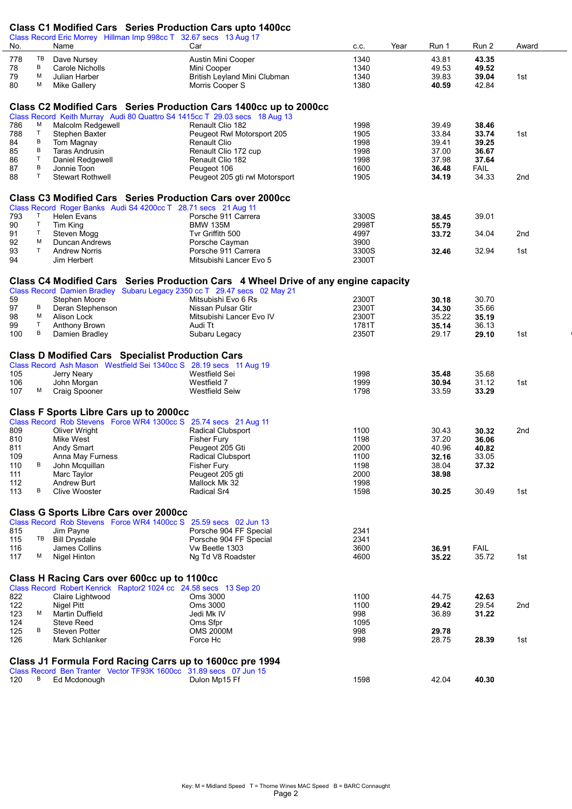## Class C1 Modified Cars Series Production Cars upto 1400cc

| No.        |         | Class CT MOdified Cars Series Production Cars upto 1400CC<br>Class Record Eric Morrey Hillman Imp 998cc T 32.67 secs 13 Aug 17<br>Name                      | Car                                                                                | C.C.           | Year | Run 1          | Run 2                | Award           |
|------------|---------|-------------------------------------------------------------------------------------------------------------------------------------------------------------|------------------------------------------------------------------------------------|----------------|------|----------------|----------------------|-----------------|
| 778        | TB      | Dave Nursey                                                                                                                                                 | <b>Austin Mini Cooper</b>                                                          | 1340           |      | 43.81          | 43.35                |                 |
| 78         | В       | <b>Carole Nicholls</b>                                                                                                                                      | Mini Cooper                                                                        | 1340           |      | 49.53          | 49.52                |                 |
| 79         | м       | Julian Harber                                                                                                                                               | British Leyland Mini Clubman                                                       | 1340           |      | 39.83          | 39.04                | 1st             |
| 80         | М       | <b>Mike Gallery</b>                                                                                                                                         | Morris Cooper S                                                                    | 1380           |      | 40.59          | 42.84                |                 |
|            |         |                                                                                                                                                             |                                                                                    |                |      |                |                      |                 |
|            |         |                                                                                                                                                             | Class C2 Modified Cars Series Production Cars 1400cc up to 2000cc                  |                |      |                |                      |                 |
|            |         | Class Record Keith Murray Audi 80 Quattro S4 1415cc T 29.03 secs 18 Aug 13                                                                                  |                                                                                    |                |      |                |                      |                 |
| 786        | м       | Malcolm Redgewell                                                                                                                                           | Renault Clio 182                                                                   | 1998           |      | 39.49          | 38.46                |                 |
| 788        | T.      | Stephen Baxter                                                                                                                                              | Peugeot Rwl Motorsport 205                                                         | 1905           |      | 33.84          | 33.74                | 1st             |
| 84         | В       | Tom Magnay                                                                                                                                                  | <b>Renault Clio</b>                                                                | 1998           |      | 39.41          | 39.25                |                 |
| 85         | B       | Taras Andrusin                                                                                                                                              | Renault Clio 172 cup                                                               | 1998           |      | 37.00          | 36.67                |                 |
| 86         | T.      | Daniel Redgewell                                                                                                                                            | Renault Clio 182                                                                   | 1998           |      | 37.98          | 37.64                |                 |
| 87<br>88   | В<br>T  | Jonnie Toon<br><b>Stewart Rothwell</b>                                                                                                                      | Peugeot 106<br>Peugeot 205 gti rwl Motorsport                                      | 1600<br>1905   |      | 36.48<br>34.19 | <b>FAIL</b><br>34.33 | 2 <sub>nd</sub> |
|            |         |                                                                                                                                                             |                                                                                    |                |      |                |                      |                 |
|            |         | Class C3 Modified Cars Series Production Cars over 2000cc                                                                                                   |                                                                                    |                |      |                |                      |                 |
|            |         | Class Record Roger Banks Audi S4 4200cc T 28.71 secs 21 Aug 11                                                                                              |                                                                                    |                |      |                |                      |                 |
| 793        | T       | <b>Helen Evans</b>                                                                                                                                          | Porsche 911 Carrera                                                                | 3300S          |      | 38.45          | 39.01                |                 |
| 90         | T.      | Tim King                                                                                                                                                    | <b>BMW 135M</b>                                                                    | 2998T          |      | 55.79          |                      |                 |
| 91         | T.      | Steven Mogg                                                                                                                                                 | Tvr Griffith 500                                                                   | 4997           |      | 33.72          | 34.04                | 2nd             |
| 92         | м<br>T  | Duncan Andrews<br><b>Andrew Norris</b>                                                                                                                      | Porsche Cayman<br>Porsche 911 Carrera                                              | 3900           |      |                |                      |                 |
| 93<br>94   |         | Jim Herbert                                                                                                                                                 | Mitsubishi Lancer Evo 5                                                            | 3300S<br>2300T |      | 32.46          | 32.94                | 1st             |
|            |         |                                                                                                                                                             |                                                                                    |                |      |                |                      |                 |
|            |         |                                                                                                                                                             | Class C4 Modified Cars Series Production Cars 4 Wheel Drive of any engine capacity |                |      |                |                      |                 |
|            |         | Class Record Damien Bradley Subaru Legacy 2350 cc T 29.47 secs 02 May 21                                                                                    |                                                                                    |                |      |                |                      |                 |
| 59         |         | Stephen Moore                                                                                                                                               | Mitsubishi Evo 6 Rs                                                                | 2300T          |      | 30.18          | 30.70                |                 |
| 97         | В       | Deran Stephenson                                                                                                                                            | Nissan Pulsar Gtir                                                                 | 2300T          |      | 34.30          | 35.66                |                 |
| 98         | м<br>T. | Alison Lock                                                                                                                                                 | Mitsubishi Lancer Evo IV                                                           | 2300T          |      | 35.22          | 35.19                |                 |
| 99<br>100  | В       | Anthony Brown<br>Damien Bradley                                                                                                                             | Audi Tt<br>Subaru Legacy                                                           | 1781T<br>2350T |      | 35.14<br>29.17 | 36.13<br>29.10       | 1st             |
|            |         |                                                                                                                                                             |                                                                                    |                |      |                |                      |                 |
| 105<br>106 |         | <b>Class D Modified Cars Specialist Production Cars</b><br>Class Record Ash Mason Westfield Sei 1340cc S 28.19 secs 11 Aug 19<br>Jerry Neary<br>John Morgan | Westfield Sei<br>Westfield 7                                                       | 1998<br>1999   |      | 35.48<br>30.94 | 35.68<br>31.12       | 1st             |
| 107        | M       | <b>Craig Spooner</b>                                                                                                                                        | <b>Westfield Seiw</b>                                                              | 1798           |      | 33.59          | 33.29                |                 |
|            |         | <b>Class F Sports Libre Cars up to 2000cc</b>                                                                                                               |                                                                                    |                |      |                |                      |                 |
|            |         | Class Record Rob Stevens Force WR4 1300cc S 25.74 secs 21 Aug 11                                                                                            |                                                                                    |                |      |                |                      |                 |
| 809        |         | Oliver Wright                                                                                                                                               | Radical Clubsport                                                                  | 1100           |      | 30.43          | 30.32                | 2nd             |
| 810        |         | Mike West                                                                                                                                                   | <b>Fisher Fury</b>                                                                 | 1198           |      | 37.20          | 36.06                |                 |
| 811        |         | Andy Smart                                                                                                                                                  | Peugeot 205 Gti                                                                    | 2000           |      | 40.96          | 40.82                |                 |
| 109<br>110 | В       | Anna May Furness                                                                                                                                            | Radical Clubsport                                                                  | 1100           |      | 32.16          | 33.05                |                 |
| 111        |         | John Mcquillan                                                                                                                                              | <b>Fisher Fury</b><br>Peugeot 205 gti                                              | 1198<br>2000   |      | 38.04<br>38.98 | 37.32                |                 |
| 112        |         | Marc Taylor<br><b>Andrew Burt</b>                                                                                                                           | Mallock Mk 32                                                                      | 1998           |      |                |                      |                 |
| 113        | в       | Clive Wooster                                                                                                                                               | Radical Sr4                                                                        | 1598           |      | 30.25          | 30.49                | 1st             |
|            |         |                                                                                                                                                             |                                                                                    |                |      |                |                      |                 |
|            |         | <b>Class G Sports Libre Cars over 2000cc</b>                                                                                                                |                                                                                    |                |      |                |                      |                 |
|            |         | Class Record Rob Stevens Force WR4 1400cc S                                                                                                                 | 25.59 secs 02 Jun 13                                                               |                |      |                |                      |                 |
| 815<br>115 | TB      | Jim Payne<br><b>Bill Drysdale</b>                                                                                                                           | Porsche 904 FF Special<br>Porsche 904 FF Special                                   | 2341<br>2341   |      |                |                      |                 |
| 116        |         | James Collins                                                                                                                                               | Vw Beetle 1303                                                                     | 3600           |      | 36.91          | <b>FAIL</b>          |                 |
| 117        | M       | Nigel Hinton                                                                                                                                                | Ng Td V8 Roadster                                                                  | 4600           |      | 35.22          | 35.72                | 1st             |
|            |         |                                                                                                                                                             |                                                                                    |                |      |                |                      |                 |
|            |         | Class H Racing Cars over 600cc up to 1100cc                                                                                                                 |                                                                                    |                |      |                |                      |                 |
| 822        |         | Class Record Robert Kenrick Raptor2 1024 cc 24.58 secs 13 Sep 20<br>Claire Lightwood                                                                        | Oms 3000                                                                           | 1100           |      | 44.75          | 42.63                |                 |
| 122        |         | <b>Nigel Pitt</b>                                                                                                                                           | Oms 3000                                                                           | 1100           |      | 29.42          | 29.54                | 2nd             |
| 123        | M       | Martin Duffield                                                                                                                                             | Jedi Mk IV                                                                         | 998            |      | 36.89          | 31.22                |                 |
| 124        |         | <b>Steve Reed</b>                                                                                                                                           | Oms Sfpr                                                                           | 1095           |      |                |                      |                 |
| 125        | В       | <b>Steven Potter</b>                                                                                                                                        | <b>OMS 2000M</b>                                                                   | 998            |      | 29.78          |                      |                 |
| 126        |         | Mark Schlanker                                                                                                                                              | Force Hc                                                                           | 998            |      | 28.75          | 28.39                | 1st             |
|            |         |                                                                                                                                                             |                                                                                    |                |      |                |                      |                 |
|            |         | Class J1 Formula Ford Racing Carrs up to 1600cc pre 1994                                                                                                    |                                                                                    |                |      |                |                      |                 |
| 120        | В       | Class Record Ben Tranter Vector TF93K 1600cc 31.89 secs 07 Jun 15<br>Ed Mcdonough                                                                           | Dulon Mp15 Ff                                                                      | 1598           |      | 42.04          | 40.30                |                 |
|            |         |                                                                                                                                                             |                                                                                    |                |      |                |                      |                 |